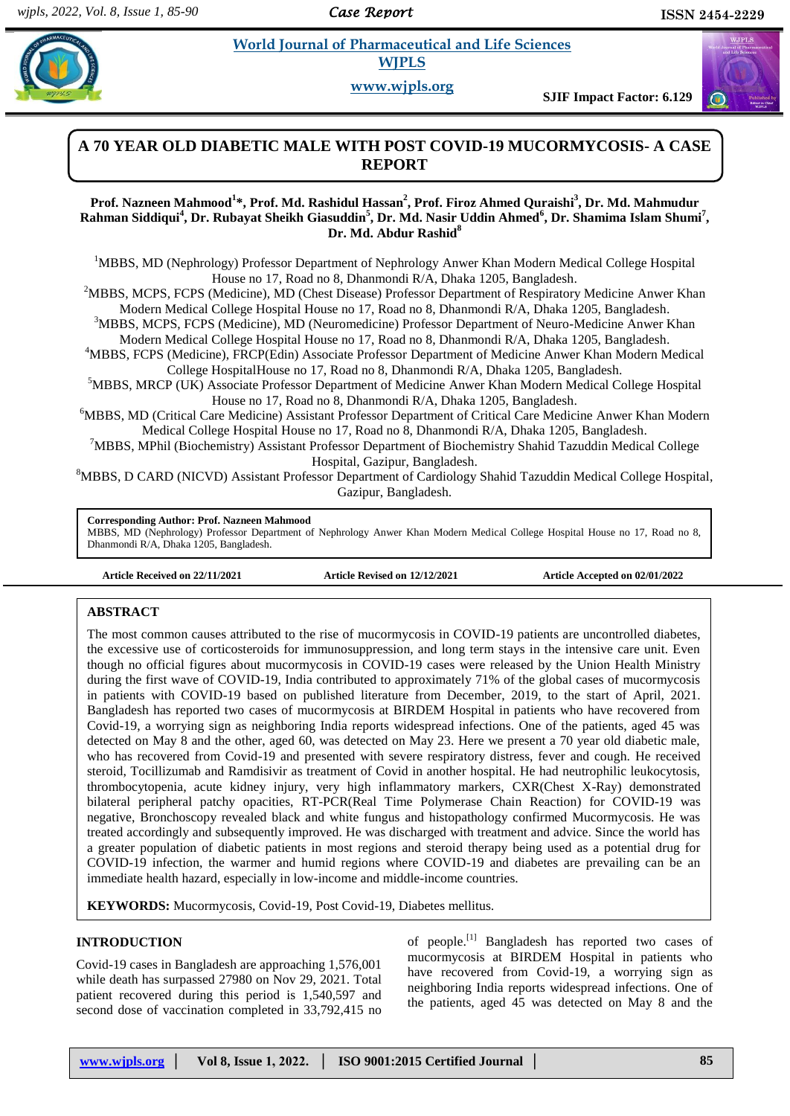*Case Report* 

# **Example 3** *E* **World Journal of Pharmaceutical and Life Sciences <b>***Conservers* **WJPLS**

**www.wjpls.org**

**SJIF Impact Factor: 6.129**



# **A 70 YEAR OLD DIABETIC MALE WITH POST COVID-19 MUCORMYCOSIS- A CASE REPORT**

# **Prof. Nazneen Mahmood<sup>1</sup> \*, Prof. Md. Rashidul Hassan<sup>2</sup> , Prof. Firoz Ahmed Quraishi<sup>3</sup> , Dr. Md. Mahmudur Rahman Siddiqui<sup>4</sup> , Dr. Rubayat Sheikh Giasuddin<sup>5</sup> , Dr. Md. Nasir Uddin Ahmed<sup>6</sup> , Dr. Shamima Islam Shumi<sup>7</sup> , Dr. Md. Abdur Rashid<sup>8</sup>**

<sup>1</sup>MBBS, MD (Nephrology) Professor Department of Nephrology Anwer Khan Modern Medical College Hospital House no 17, Road no 8, Dhanmondi R/A, Dhaka 1205, Bangladesh.

<sup>2</sup>MBBS, MCPS, FCPS (Medicine), MD (Chest Disease) Professor Department of Respiratory Medicine Anwer Khan Modern Medical College Hospital House no 17, Road no 8, Dhanmondi R/A, Dhaka 1205, Bangladesh.

<sup>3</sup>MBBS, MCPS, FCPS (Medicine), MD (Neuromedicine) Professor Department of Neuro-Medicine Anwer Khan Modern Medical College Hospital House no 17, Road no 8, Dhanmondi R/A, Dhaka 1205, Bangladesh.

<sup>4</sup>MBBS, FCPS (Medicine), FRCP(Edin) Associate Professor Department of Medicine Anwer Khan Modern Medical College HospitalHouse no 17, Road no 8, Dhanmondi R/A, Dhaka 1205, Bangladesh.

<sup>5</sup>MBBS, MRCP (UK) Associate Professor Department of Medicine Anwer Khan Modern Medical College Hospital House no 17, Road no 8, Dhanmondi R/A, Dhaka 1205, Bangladesh.

<sup>6</sup>MBBS, MD (Critical Care Medicine) Assistant Professor Department of Critical Care Medicine Anwer Khan Modern Medical College Hospital House no 17, Road no 8, Dhanmondi R/A, Dhaka 1205, Bangladesh.

<sup>7</sup>MBBS, MPhil (Biochemistry) Assistant Professor Department of Biochemistry Shahid Tazuddin Medical College Hospital, Gazipur, Bangladesh.

<sup>8</sup>MBBS, D CARD (NICVD) Assistant Professor Department of Cardiology Shahid Tazuddin Medical College Hospital, Gazipur, Bangladesh.

# **Corresponding Author: Prof. Nazneen Mahmood**

MBBS, MD (Nephrology) Professor Department of Nephrology Anwer Khan Modern Medical College Hospital House no 17, Road no 8, Dhanmondi R/A, Dhaka 1205, Bangladesh.

**Article Received on 22/11/2021 Article Revised on 12/12/2021 Article Accepted on 02/01/2022**

# **ABSTRACT**

The most common causes attributed to the rise of mucormycosis in COVID-19 patients are uncontrolled diabetes, the excessive use of corticosteroids for immunosuppression, and long term stays in the intensive care unit. Even though no official figures about mucormycosis in COVID-19 cases were released by the Union Health Ministry during the first wave of COVID-19, India contributed to approximately 71% of the global cases of mucormycosis in patients with COVID-19 based on published literature from December, 2019, to the start of April, 2021. Bangladesh has reported two cases of mucormycosis at BIRDEM Hospital in patients who have recovered from Covid-19, a worrying sign as neighboring India reports widespread infections. One of the patients, aged 45 was detected on May 8 and the other, aged 60, was detected on May 23. Here we present a 70 year old diabetic male, who has recovered from Covid-19 and presented with severe respiratory distress, fever and cough. He received steroid, Tocillizumab and Ramdisivir as treatment of Covid in another hospital. He had neutrophilic leukocytosis, thrombocytopenia, acute kidney injury, very high inflammatory markers, CXR(Chest X-Ray) demonstrated bilateral peripheral patchy opacities, RT-PCR(Real Time Polymerase Chain Reaction) for COVID-19 was negative, Bronchoscopy revealed black and white fungus and histopathology confirmed Mucormycosis. He was treated accordingly and subsequently improved. He was discharged with treatment and advice. Since the world has a greater population of diabetic patients in most regions and steroid therapy being used as a potential drug for COVID-19 infection, the warmer and humid regions where COVID-19 and diabetes are prevailing can be an immediate health hazard, especially in low-income and middle-income countries.

**KEYWORDS:** Mucormycosis, Covid-19, Post Covid-19, Diabetes mellitus.

### **INTRODUCTION**

Covid-19 cases in Bangladesh are approaching 1,576,001 while death has surpassed 27980 on Nov 29, 2021. Total patient recovered during this period is 1,540,597 and second dose of vaccination completed in 33,792,415 no

of people.<sup>[1]</sup> Bangladesh has reported two cases of mucormycosis at BIRDEM Hospital in patients who have recovered from Covid-19, a worrying sign as neighboring India reports widespread infections. One of the patients, aged 45 was detected on May 8 and the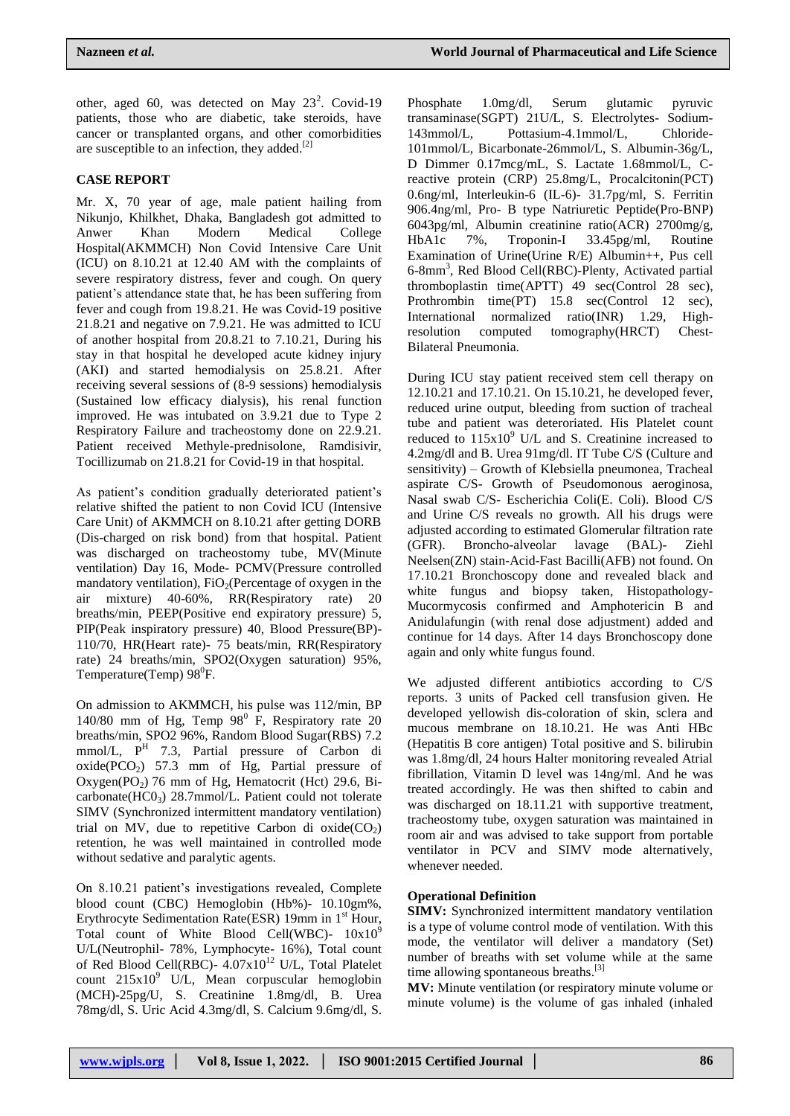other, aged 60, was detected on May  $23^2$ . Covid-19 patients, those who are diabetic, take steroids, have cancer or transplanted organs, and other comorbidities are susceptible to an infection, they added.<sup>[2]</sup>

# **CASE REPORT**

Mr. X, 70 year of age, male patient hailing from Nikunjo, Khilkhet, Dhaka, Bangladesh got admitted to Anwer Khan Modern Medical College Hospital(AKMMCH) Non Covid Intensive Care Unit (ICU) on 8.10.21 at 12.40 AM with the complaints of severe respiratory distress, fever and cough. On query patient's attendance state that, he has been suffering from fever and cough from 19.8.21. He was Covid-19 positive 21.8.21 and negative on 7.9.21. He was admitted to ICU of another hospital from 20.8.21 to 7.10.21, During his stay in that hospital he developed acute kidney injury (AKI) and started hemodialysis on 25.8.21. After receiving several sessions of (8-9 sessions) hemodialysis (Sustained low efficacy dialysis), his renal function improved. He was intubated on 3.9.21 due to Type 2 Respiratory Failure and tracheostomy done on 22.9.21. Patient received Methyle-prednisolone, Ramdisivir, Tocillizumab on 21.8.21 for Covid-19 in that hospital.

As patient's condition gradually deteriorated patient's relative shifted the patient to non Covid ICU (Intensive Care Unit) of AKMMCH on 8.10.21 after getting DORB (Dis-charged on risk bond) from that hospital. Patient was discharged on tracheostomy tube, MV(Minute ventilation) Day 16, Mode- PCMV(Pressure controlled mandatory ventilation),  $FiO<sub>2</sub>(Percentage of oxygen in the$ air mixture) 40-60%, RR(Respiratory rate) 20 breaths/min, PEEP(Positive end expiratory pressure) 5, PIP(Peak inspiratory pressure) 40, Blood Pressure(BP)- 110/70, HR(Heart rate)- 75 beats/min, RR(Respiratory rate) 24 breaths/min, SPO2(Oxygen saturation) 95%, Temperature(Temp)  $98^{\circ}$ F.

On admission to AKMMCH, his pulse was 112/min, BP 140/80 mm of Hg, Temp  $98^{\circ}$  F, Respiratory rate 20 breaths/min, SPO2 96%, Random Blood Sugar(RBS) 7.2 mmol/L, P<sup>H</sup> 7.3, Partial pressure of Carbon di oxide( $PCO<sub>2</sub>$ ) 57.3 mm of Hg, Partial pressure of Oxygen(PO<sub>2</sub>) 76 mm of Hg, Hematocrit (Hct) 29.6, Bicarbonate( $HCO<sub>3</sub>$ ) 28.7mmol/L. Patient could not tolerate SIMV (Synchronized intermittent mandatory ventilation) trial on MV, due to repetitive Carbon di  $oxide(CO<sub>2</sub>)$ retention, he was well maintained in controlled mode without sedative and paralytic agents.

On 8.10.21 patient's investigations revealed, Complete blood count (CBC) Hemoglobin (Hb%)- 10.10gm%, Erythrocyte Sedimentation Rate(ESR) 19mm in  $1<sup>st</sup>$  Hour, Total count of White Blood Cell(WBC)-  $10x10^9$ U/L(Neutrophil- 78%, Lymphocyte- 16%), Total count of Red Blood Cell(RBC)- 4.07x10<sup>12</sup> U/L, Total Platelet count  $215x10^9$  U/L, Mean corpuscular hemoglobin (MCH)-25pg/U, S. Creatinine 1.8mg/dl, B. Urea 78mg/dl, S. Uric Acid 4.3mg/dl, S. Calcium 9.6mg/dl, S.

Phosphate 1.0mg/dl, Serum glutamic pyruvic transaminase(SGPT) 21U/L, S. Electrolytes- Sodium-143mmol/L, Pottasium-4.1mmol/L, Chloride-101mmol/L, Bicarbonate-26mmol/L, S. Albumin-36g/L, D Dimmer 0.17mcg/mL, S. Lactate 1.68mmol/L, Creactive protein (CRP) 25.8mg/L, Procalcitonin(PCT) 0.6ng/ml, Interleukin-6 (IL-6)- 31.7pg/ml, S. Ferritin 906.4ng/ml, Pro- B type Natriuretic Peptide(Pro-BNP) 6043pg/ml, Albumin creatinine ratio(ACR) 2700mg/g, HbA1c 7%, Troponin-I 33.45pg/ml, Routine Examination of Urine(Urine R/E) Albumin++, Pus cell 6-8mm<sup>3</sup>, Red Blood Cell(RBC)-Plenty, Activated partial thromboplastin time(APTT) 49 sec(Control 28 sec), Prothrombin time(PT) 15.8 sec(Control 12 sec), International normalized ratio(INR) 1.29, Highresolution computed tomography(HRCT) Chest-Bilateral Pneumonia.

During ICU stay patient received stem cell therapy on 12.10.21 and 17.10.21. On 15.10.21, he developed fever, reduced urine output, bleeding from suction of tracheal tube and patient was deteroriated. His Platelet count reduced to  $115x10<sup>9</sup>$  U/L and S. Creatinine increased to 4.2mg/dl and B. Urea 91mg/dl. IT Tube C/S (Culture and sensitivity) – Growth of Klebsiella pneumonea, Tracheal aspirate C/S- Growth of Pseudomonous aeroginosa, Nasal swab C/S- Escherichia Coli(E. Coli). Blood C/S and Urine C/S reveals no growth. All his drugs were adjusted according to estimated Glomerular filtration rate (GFR). Broncho-alveolar lavage (BAL)- Ziehl Neelsen(ZN) stain-Acid-Fast Bacilli(AFB) not found. On 17.10.21 Bronchoscopy done and revealed black and white fungus and biopsy taken, Histopathology-Mucormycosis confirmed and Amphotericin B and Anidulafungin (with renal dose adjustment) added and continue for 14 days. After 14 days Bronchoscopy done again and only white fungus found.

We adjusted different antibiotics according to C/S reports. 3 units of Packed cell transfusion given. He developed yellowish dis-coloration of skin, sclera and mucous membrane on 18.10.21. He was Anti HBc (Hepatitis B core antigen) Total positive and S. bilirubin was 1.8mg/dl, 24 hours Halter monitoring revealed Atrial fibrillation, Vitamin D level was 14ng/ml. And he was treated accordingly. He was then shifted to cabin and was discharged on 18.11.21 with supportive treatment, tracheostomy tube, oxygen saturation was maintained in room air and was advised to take support from portable ventilator in PCV and SIMV mode alternatively, whenever needed.

# **Operational Definition**

**SIMV:** Synchronized intermittent mandatory ventilation is a type of volume control mode of ventilation. With this mode, the ventilator will deliver a mandatory (Set) number of breaths with set volume while at the same time allowing spontaneous breaths.<sup>[3]</sup>

**MV:** Minute ventilation (or respiratory minute volume or minute volume) is the volume of gas inhaled (inhaled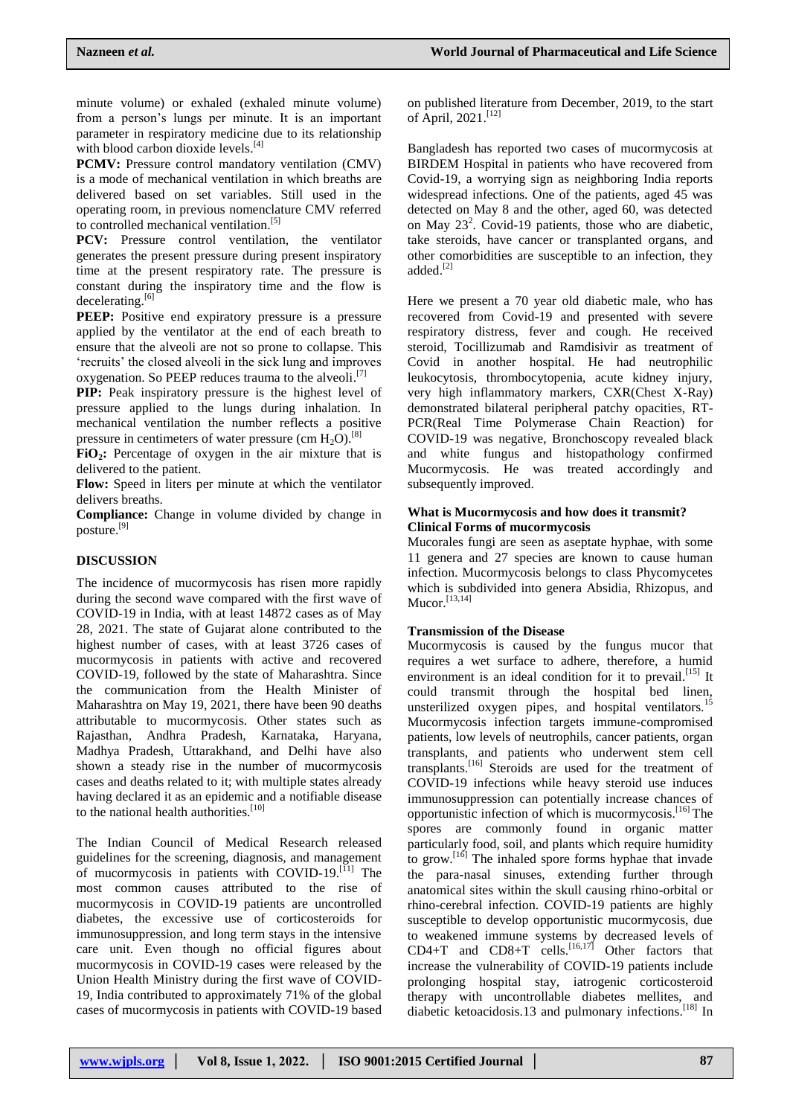minute volume) or exhaled (exhaled minute volume) from a person's lungs per minute. It is an important parameter in respiratory medicine due to its relationship with blood carbon dioxide levels.<sup>[4]</sup>

**PCMV:** Pressure control mandatory ventilation (CMV) is a mode of mechanical ventilation in which breaths are delivered based on set variables. Still used in the operating room, in previous nomenclature CMV referred to controlled mechanical ventilation. [5]

PCV: Pressure control ventilation, the ventilator generates the present pressure during present inspiratory time at the present respiratory rate. The pressure is constant during the inspiratory time and the flow is decelerating.<sup>[6]</sup>

**PEEP:** Positive end expiratory pressure is a pressure applied by the ventilator at the end of each breath to ensure that the alveoli are not so prone to collapse. This 'recruits' the closed alveoli in the sick lung and improves oxygenation. So PEEP reduces trauma to the alveoli.<sup>[7]</sup>

**PIP:** Peak inspiratory pressure is the highest level of pressure applied to the lungs during inhalation. In mechanical ventilation the number reflects a positive pressure in centimeters of water pressure (cm  $H_2O$ ).<sup>[8]</sup>

**FiO2:** Percentage of oxygen in the air mixture that is delivered to the patient.

**Flow:** Speed in liters per minute at which the ventilator delivers breaths.

**Compliance:** Change in volume divided by change in posture. [9]

# **DISCUSSION**

The incidence of mucormycosis has risen more rapidly during the second wave compared with the first wave of COVID-19 in India, with at least 14872 cases as of May 28, 2021. The state of Gujarat alone contributed to the highest number of cases, with at least 3726 cases of mucormycosis in patients with active and recovered COVID-19, followed by the state of Maharashtra. Since the communication from the Health Minister of Maharashtra on May 19, 2021, there have been 90 deaths attributable to mucormycosis. Other states such as Rajasthan, Andhra Pradesh, Karnataka, Haryana, Madhya Pradesh, Uttarakhand, and Delhi have also shown a steady rise in the number of mucormycosis cases and deaths related to it; with multiple states already having declared it as an epidemic and a notifiable disease to the national health authorities. [10]

The Indian Council of Medical Research released guidelines for the screening, diagnosis, and management of mucormycosis in patients with COVID-19. $^{[11]}$  The most common causes attributed to the rise of mucormycosis in COVID-19 patients are uncontrolled diabetes, the excessive use of corticosteroids for immunosuppression, and long term stays in the intensive care unit. Even though no official figures about mucormycosis in COVID-19 cases were released by the Union Health Ministry during the first wave of COVID-19, India contributed to approximately 71% of the global cases of mucormycosis in patients with COVID-19 based

on published literature from December, 2019, to the start of April, 2021. [12]

Bangladesh has reported two cases of mucormycosis at BIRDEM Hospital in patients who have recovered from Covid-19, a worrying sign as neighboring India reports widespread infections. One of the patients, aged 45 was detected on May 8 and the other, aged 60, was detected on May  $23^2$ . Covid-19 patients, those who are diabetic, take steroids, have cancer or transplanted organs, and other comorbidities are susceptible to an infection, they added. [2]

Here we present a 70 year old diabetic male, who has recovered from Covid-19 and presented with severe respiratory distress, fever and cough. He received steroid, Tocillizumab and Ramdisivir as treatment of Covid in another hospital. He had neutrophilic leukocytosis, thrombocytopenia, acute kidney injury, very high inflammatory markers, CXR(Chest X-Ray) demonstrated bilateral peripheral patchy opacities, RT-PCR(Real Time Polymerase Chain Reaction) for COVID-19 was negative, Bronchoscopy revealed black and white fungus and histopathology confirmed Mucormycosis. He was treated accordingly and subsequently improved.

### **What is Mucormycosis and how does it transmit? Clinical Forms of mucormycosis**

Mucorales fungi are seen as aseptate hyphae, with some 11 genera and 27 species are known to cause human infection. Mucormycosis belongs to class Phycomycetes which is subdivided into genera Absidia, Rhizopus, and  $Mucor.$ <sup>[13,14]</sup>

# **Transmission of the Disease**

Mucormycosis is caused by the fungus mucor that requires a wet surface to adhere, therefore, a humid environment is an ideal condition for it to prevail.<sup>[15]</sup> It could transmit through the hospital bed linen, unsterilized oxygen pipes, and hospital ventilators.<sup>15</sup> Mucormycosis infection targets immune-compromised patients, low levels of neutrophils, cancer patients, organ transplants, and patients who underwent stem cell transplants.[16] Steroids are used for the treatment of COVID-19 infections while heavy steroid use induces immunosuppression can potentially increase chances of opportunistic infection of which is mucormycosis.[16] The spores are commonly found in organic matter particularly food, soil, and plants which require humidity to grow.<sup>[16]</sup> The inhaled spore forms hyphae that invade the para-nasal sinuses, extending further through anatomical sites within the skull causing rhino-orbital or rhino-cerebral infection. COVID-19 patients are highly susceptible to develop opportunistic mucormycosis, due to weakened immune systems by decreased levels of  $CD4+T$  and  $CD8+T$  cells.<sup>[16,17]</sup> Other factors that increase the vulnerability of COVID-19 patients include prolonging hospital stay, iatrogenic corticosteroid therapy with uncontrollable diabetes mellites, and diabetic ketoacidosis.13 and pulmonary infections.<sup>[18]</sup> In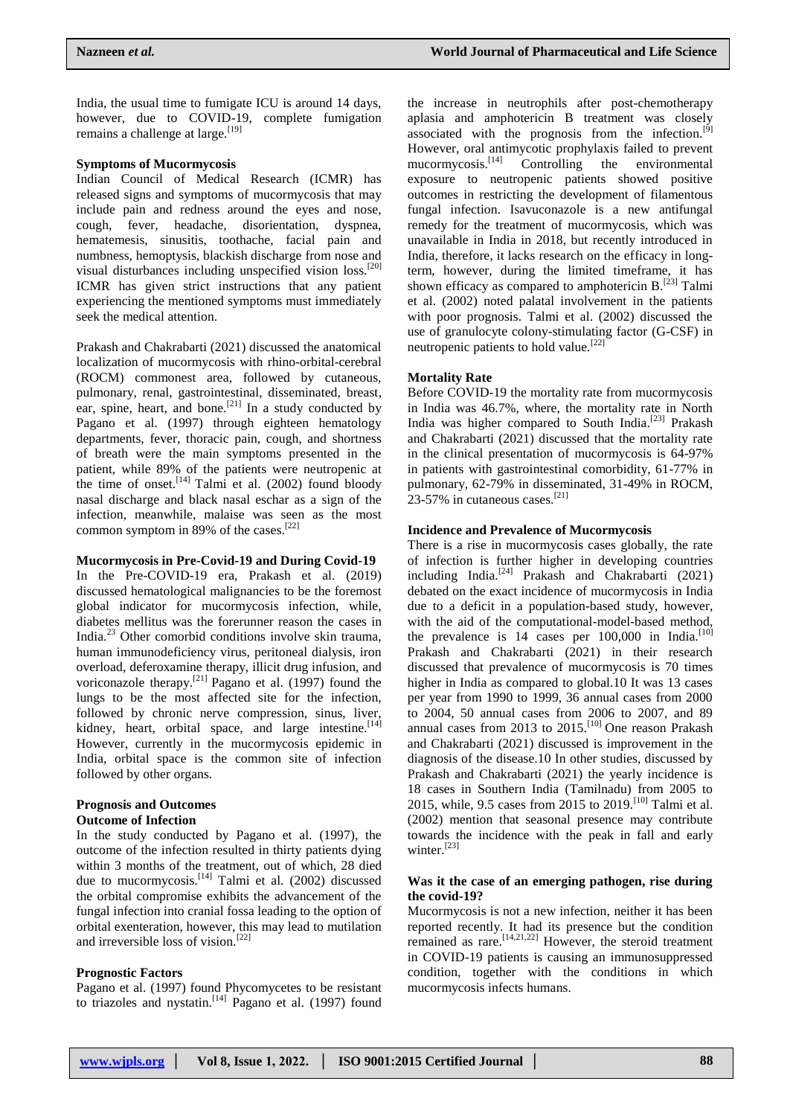India, the usual time to fumigate ICU is around 14 days, however, due to COVID-19, complete fumigation remains a challenge at large.<sup>[19]</sup>

#### **Symptoms of Mucormycosis**

Indian Council of Medical Research (ICMR) has released signs and symptoms of mucormycosis that may include pain and redness around the eyes and nose, cough, fever, headache, disorientation, dyspnea, hematemesis, sinusitis, toothache, facial pain and numbness, hemoptysis, blackish discharge from nose and visual disturbances including unspecified vision loss.[20] ICMR has given strict instructions that any patient experiencing the mentioned symptoms must immediately seek the medical attention.

Prakash and Chakrabarti (2021) discussed the anatomical localization of mucormycosis with rhino-orbital-cerebral (ROCM) commonest area, followed by cutaneous, pulmonary, renal, gastrointestinal, disseminated, breast, ear, spine, heart, and bone.<sup>[21]</sup> In a study conducted by Pagano et al. (1997) through eighteen hematology departments, fever, thoracic pain, cough, and shortness of breath were the main symptoms presented in the patient, while 89% of the patients were neutropenic at the time of onset.<sup>[14]</sup> Talmi et al. (2002) found bloody nasal discharge and black nasal eschar as a sign of the infection, meanwhile, malaise was seen as the most common symptom in 89% of the cases.<sup>[22]</sup>

#### **Mucormycosis in Pre-Covid-19 and During Covid-19**

In the Pre-COVID-19 era, Prakash et al. (2019) discussed hematological malignancies to be the foremost global indicator for mucormycosis infection, while, diabetes mellitus was the forerunner reason the cases in India.<sup>23</sup> Other comorbid conditions involve skin trauma, human immunodeficiency virus, peritoneal dialysis, iron overload, deferoxamine therapy, illicit drug infusion, and voriconazole therapy.<sup>[21]</sup> Pagano et al.  $(1997)$  found the lungs to be the most affected site for the infection, followed by chronic nerve compression, sinus, liver, kidney, heart, orbital space, and large intestine.<sup>[14]</sup> However, currently in the mucormycosis epidemic in India, orbital space is the common site of infection followed by other organs.

## **Prognosis and Outcomes Outcome of Infection**

In the study conducted by Pagano et al. (1997), the outcome of the infection resulted in thirty patients dying within 3 months of the treatment, out of which, 28 died due to mucormycosis.<sup>[14]</sup> Talmi et al.  $(2002)$  discussed the orbital compromise exhibits the advancement of the fungal infection into cranial fossa leading to the option of orbital exenteration, however, this may lead to mutilation and irreversible loss of vision.<sup>[22]</sup>

### **Prognostic Factors**

Pagano et al. (1997) found Phycomycetes to be resistant to triazoles and nystatin.  $[14]$  Pagano et al. (1997) found the increase in neutrophils after post-chemotherapy aplasia and amphotericin B treatment was closely associated with the prognosis from the infection. $^{[9]}$ However, oral antimycotic prophylaxis failed to prevent  $mu$ controlling the environmental exposure to neutropenic patients showed positive outcomes in restricting the development of filamentous fungal infection. Isavuconazole is a new antifungal remedy for the treatment of mucormycosis, which was unavailable in India in 2018, but recently introduced in India, therefore, it lacks research on the efficacy in longterm, however, during the limited timeframe, it has shown efficacy as compared to amphotericin  $B$ .<sup>[23]</sup> Talmi et al. (2002) noted palatal involvement in the patients with poor prognosis. Talmi et al. (2002) discussed the use of granulocyte colony-stimulating factor (G-CSF) in neutropenic patients to hold value.<sup>[22]</sup>

#### **Mortality Rate**

Before COVID-19 the mortality rate from mucormycosis in India was 46.7%, where, the mortality rate in North India was higher compared to South India.<sup>[23]</sup> Prakash and Chakrabarti (2021) discussed that the mortality rate in the clinical presentation of mucormycosis is 64-97% in patients with gastrointestinal comorbidity, 61-77% in pulmonary, 62-79% in disseminated, 31-49% in ROCM,  $23-57\%$  in cutaneous cases.<sup>[21]</sup>

#### **Incidence and Prevalence of Mucormycosis**

There is a rise in mucormycosis cases globally, the rate of infection is further higher in developing countries including India.<sup>[24]</sup> Prakash and Chakrabarti (2021) debated on the exact incidence of mucormycosis in India due to a deficit in a population-based study, however, with the aid of the computational-model-based method, the prevalence is  $14$  cases per  $100,000$  in India.<sup>[10]</sup> Prakash and Chakrabarti (2021) in their research discussed that prevalence of mucormycosis is 70 times higher in India as compared to global.10 It was 13 cases per year from 1990 to 1999, 36 annual cases from 2000 to 2004, 50 annual cases from 2006 to 2007, and 89 annual cases from 2013 to 2015.[10] One reason Prakash and Chakrabarti (2021) discussed is improvement in the diagnosis of the disease.10 In other studies, discussed by Prakash and Chakrabarti (2021) the yearly incidence is 18 cases in Southern India (Tamilnadu) from 2005 to 2015, while, 9.5 cases from 2015 to 2019.<sup>[10]</sup> Talmi et al. (2002) mention that seasonal presence may contribute towards the incidence with the peak in fall and early winter.<sup>[23]</sup>

### **Was it the case of an emerging pathogen, rise during the covid-19?**

Mucormycosis is not a new infection, neither it has been reported recently. It had its presence but the condition remained as rare.[14,21,22] However, the steroid treatment in COVID-19 patients is causing an immunosuppressed condition, together with the conditions in which mucormycosis infects humans.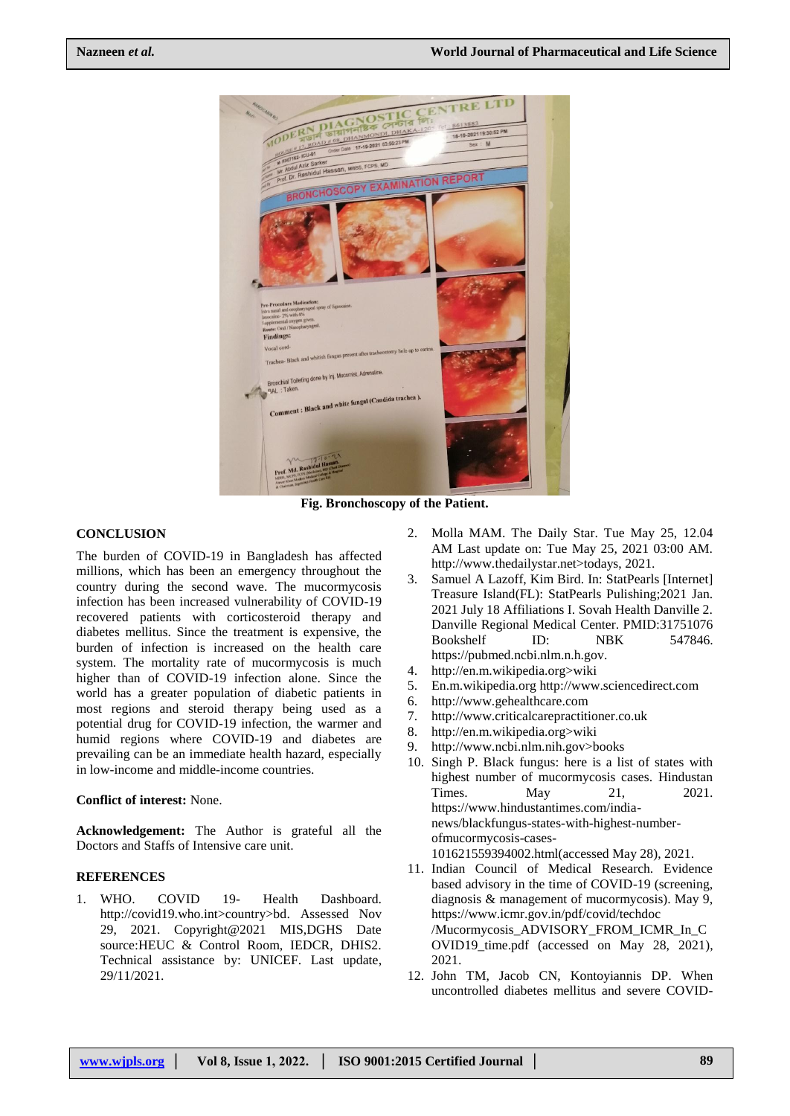

**Fig. Bronchoscopy of the Patient.**

# **CONCLUSION**

The burden of COVID-19 in Bangladesh has affected millions, which has been an emergency throughout the country during the second wave. The mucormycosis infection has been increased vulnerability of COVID-19 recovered patients with corticosteroid therapy and diabetes mellitus. Since the treatment is expensive, the burden of infection is increased on the health care system. The mortality rate of mucormycosis is much higher than of COVID-19 infection alone. Since the world has a greater population of diabetic patients in most regions and steroid therapy being used as a potential drug for COVID-19 infection, the warmer and humid regions where COVID-19 and diabetes are prevailing can be an immediate health hazard, especially in low-income and middle-income countries.

#### **Conflict of interest:** None.

**Acknowledgement:** The Author is grateful all the Doctors and Staffs of Intensive care unit.

# **REFERENCES**

1. WHO. COVID 19- Health Dashboard. http://covid19.who.int>country>bd. Assessed Nov 29, 2021. Copyright@2021 MIS,DGHS Date source:HEUC & Control Room, IEDCR, DHIS2. Technical assistance by: UNICEF. Last update, 29/11/2021.

- 2. Molla MAM. The Daily Star. Tue May 25, 12.04 AM Last update on: Tue May 25, 2021 03:00 AM. http://www.thedailystar.net>todays, 2021.
- 3. Samuel A Lazoff, Kim Bird. In: StatPearls [Internet] Treasure Island(FL): StatPearls Pulishing;2021 Jan. 2021 July 18 Affiliations I. Sovah Health Danville 2. Danville Regional Medical Center. PMID:31751076 Bookshelf ID: NBK 547846. [https://pubmed.ncbi.nlm.n.h.gov.](https://pubmed.ncbi.nlm.n.h.gov/)
- 4. http://en.m.wikipedia.org>wiki
- 5. En.m.wikipedia.org [http://www.sciencedirect.com](http://www.sciencedirect.com/)
- 6. [http://www.gehealthcare.com](http://www.gehealthcare.com/)
- 7. [http://www.criticalcarepractitioner.co.uk](http://www.criticalcarepractitioner.co.uk/)
- 8. http://en.m.wikipedia.org>wiki
- 9. http://www.ncbi.nlm.nih.gov>books
- 10. Singh P. Black fungus: here is a list of states with highest number of mucormycosis cases. Hindustan Times. May 21, 2021. https://www.hindustantimes.com/indianews/blackfungus-states-with-highest-numberofmucormycosis-cases-101621559394002.html(accessed May 28), 2021.
- 11. Indian Council of Medical Research. Evidence based advisory in the time of COVID-19 (screening, diagnosis & management of mucormycosis). May 9, https://www.icmr.gov.in/pdf/covid/techdoc /Mucormycosis\_ADVISORY\_FROM\_ICMR\_In\_C OVID19\_time.pdf (accessed on May 28, 2021), 2021.
- 12. John TM, Jacob CN, Kontoyiannis DP. When uncontrolled diabetes mellitus and severe COVID-